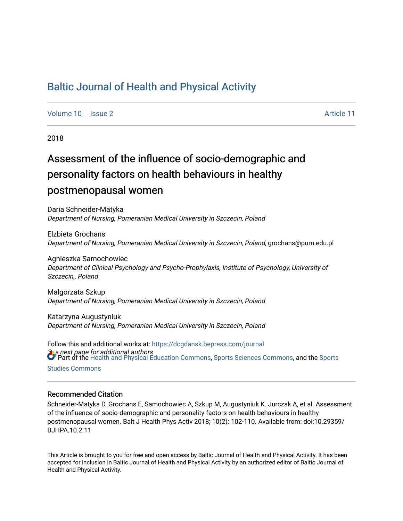# [Baltic Journal of Health and Physical Activity](https://dcgdansk.bepress.com/journal)

[Volume 10](https://dcgdansk.bepress.com/journal/vol10) | [Issue 2](https://dcgdansk.bepress.com/journal/vol10/iss2) Article 11

2018

# Assessment of the influence of socio-demographic and personality factors on health behaviours in healthy postmenopausal women

Daria Schneider-Matyka Department of Nursing, Pomeranian Medical University in Szczecin, Poland

Elzbieta Grochans Department of Nursing, Pomeranian Medical University in Szczecin, Poland, grochans@pum.edu.pl

Agnieszka Samochowiec Department of Clinical Psychology and Psycho-Prophylaxis, Institute of Psychology, University of Szczecin,, Poland

Malgorzata Szkup Department of Nursing, Pomeranian Medical University in Szczecin, Poland

Katarzyna Augustyniuk Department of Nursing, Pomeranian Medical University in Szczecin, Poland

**See next page for additional authors** Follow this and additional works at: [https://dcgdansk.bepress.com/journal](https://dcgdansk.bepress.com/journal?utm_source=dcgdansk.bepress.com%2Fjournal%2Fvol10%2Fiss2%2F11&utm_medium=PDF&utm_campaign=PDFCoverPages) Part of the [Health and Physical Education Commons](http://network.bepress.com/hgg/discipline/1327?utm_source=dcgdansk.bepress.com%2Fjournal%2Fvol10%2Fiss2%2F11&utm_medium=PDF&utm_campaign=PDFCoverPages), [Sports Sciences Commons](http://network.bepress.com/hgg/discipline/759?utm_source=dcgdansk.bepress.com%2Fjournal%2Fvol10%2Fiss2%2F11&utm_medium=PDF&utm_campaign=PDFCoverPages), and the [Sports](http://network.bepress.com/hgg/discipline/1198?utm_source=dcgdansk.bepress.com%2Fjournal%2Fvol10%2Fiss2%2F11&utm_medium=PDF&utm_campaign=PDFCoverPages)  [Studies Commons](http://network.bepress.com/hgg/discipline/1198?utm_source=dcgdansk.bepress.com%2Fjournal%2Fvol10%2Fiss2%2F11&utm_medium=PDF&utm_campaign=PDFCoverPages) 

#### Recommended Citation

Schneider-Matyka D, Grochans E, Samochowiec A, Szkup M, Augustyniuk K. Jurczak A, et al. Assessment of the influence of socio-demographic and personality factors on health behaviours in healthy postmenopausal women. Balt J Health Phys Activ 2018; 10(2): 102-110. Available from: doi:10.29359/ BJHPA.10.2.11

This Article is brought to you for free and open access by Baltic Journal of Health and Physical Activity. It has been accepted for inclusion in Baltic Journal of Health and Physical Activity by an authorized editor of Baltic Journal of Health and Physical Activity.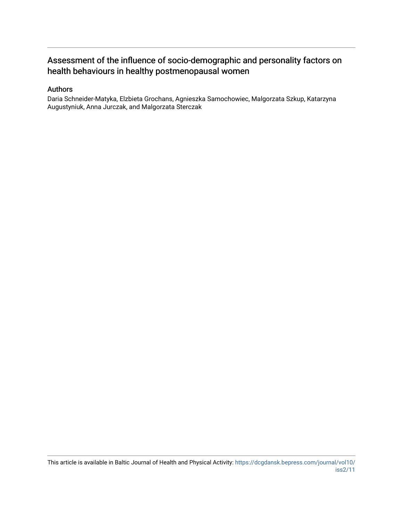## Assessment of the influence of socio-demographic and personality factors on health behaviours in healthy postmenopausal women

#### Authors

Daria Schneider-Matyka, Elzbieta Grochans, Agnieszka Samochowiec, Malgorzata Szkup, Katarzyna Augustyniuk, Anna Jurczak, and Malgorzata Sterczak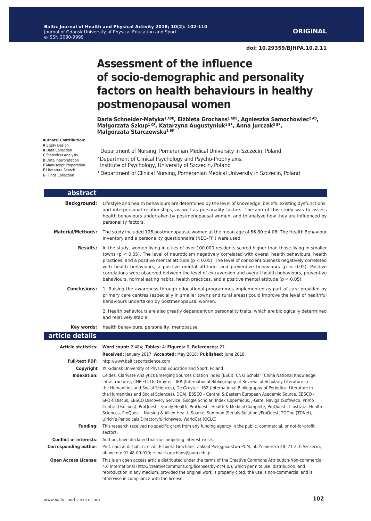**ORIGINAL** 

# **Assessment of the influence of socio-demographic and personality factors on health behaviours in healthy postmenopausal women**

**Daria Schneider-Matyka1 ADE, Elżbieta Grochans1 ADE, Agnieszka Samochowiec2 AD, Małgorzata Szkup1 CF, Katarzyna Augustyniuk1 BF, Anna Jurczak3 BF, Małgorzata Starczewska1 BF**

**Authors' Contribution:**

**A** Study Design **B** Data Collection

**C** Statistical Analysis

- **D** Data Interpretation
- **E** Manuscript Preparation

**F** Literature Search

**G** Funds Collection

- 1 Department of Nursing, Pomeranian Medical University in Szczecin, Poland
- 2 Department of Clinical Psychology and Psycho-Prophylaxis, Institute of Psychology, University of Szczecin,, Poland
- 3 Department of Clinical Nursing, Pomeranian Medical University in Szczecin, Poland

| abstract                     |                                                                                                                                                                                                                                                                                                                                                                                                                                                                                                                                                                                                                                                                                                                                                                                                                                                                           |
|------------------------------|---------------------------------------------------------------------------------------------------------------------------------------------------------------------------------------------------------------------------------------------------------------------------------------------------------------------------------------------------------------------------------------------------------------------------------------------------------------------------------------------------------------------------------------------------------------------------------------------------------------------------------------------------------------------------------------------------------------------------------------------------------------------------------------------------------------------------------------------------------------------------|
| <b>Background:</b>           | Lifestyle and health behaviours are determined by the level of knowledge, beliefs, existing dysfunctions,<br>and interpersonal relationships, as well as personality factors. The aim of this study was to assess<br>health behaviours undertaken by postmenopausal women, and to analyze how they are influenced by<br>personality factors.                                                                                                                                                                                                                                                                                                                                                                                                                                                                                                                              |
| <b>Material/Methods:</b>     | The study included 196 postmenopausal women at the mean age of $56.80 \pm 4.08$ . The Health Behaviour<br>Inventory and a personality questionnaire (NEO-FFI) were used.                                                                                                                                                                                                                                                                                                                                                                                                                                                                                                                                                                                                                                                                                                  |
| <b>Results:</b>              | In the study, women living in cities of over 100.000 residents scored higher than those living in smaller<br>towns ( $p < 0.05$ ). The level of neuroticism negatively correlated with overall health behaviours, health<br>practices, and a positive mental attitude ( $p < 0.05$ ). The level of conscientiousness negatively correlated<br>with health behaviours, a positive mental attitude, and preventive behaviours ( $p < 0.05$ ). Positive<br>correlations were observed between the level of extraversion and overall health behaviours, preventive<br>behaviours, normal eating habits, health practices, and a positive mental attitude ( $p < 0.05$ ).                                                                                                                                                                                                      |
| <b>Conclusions:</b>          | 1. Raising the awareness through educational programmes implemented as part of care provided by<br>primary care centres (especially in smaller towns and rural areas) could improve the level of healthful<br>behaviours undertaken by postmenopausal women.                                                                                                                                                                                                                                                                                                                                                                                                                                                                                                                                                                                                              |
|                              | 2. Health behaviours are also greatly dependent on personality traits, which are biologically determined<br>and relatively stable.                                                                                                                                                                                                                                                                                                                                                                                                                                                                                                                                                                                                                                                                                                                                        |
| Key words:                   | health behaviours, personality, menopause.                                                                                                                                                                                                                                                                                                                                                                                                                                                                                                                                                                                                                                                                                                                                                                                                                                |
| article details              |                                                                                                                                                                                                                                                                                                                                                                                                                                                                                                                                                                                                                                                                                                                                                                                                                                                                           |
|                              | Article statistics: Word count: 2,484; Tables: 4; Figures: 0; References: 27                                                                                                                                                                                                                                                                                                                                                                                                                                                                                                                                                                                                                                                                                                                                                                                              |
|                              | Received: January 2017; Accepted: May 2018; Published: June 2018                                                                                                                                                                                                                                                                                                                                                                                                                                                                                                                                                                                                                                                                                                                                                                                                          |
|                              | Full-text PDF: http://www.balticsportscience.com                                                                                                                                                                                                                                                                                                                                                                                                                                                                                                                                                                                                                                                                                                                                                                                                                          |
|                              | <b>Copyright</b> © Gdansk University of Physical Education and Sport, Poland                                                                                                                                                                                                                                                                                                                                                                                                                                                                                                                                                                                                                                                                                                                                                                                              |
|                              | Indexation: Celdes, Clarivate Analytics Emerging Sources Citation Index (ESCI), CNKI Scholar (China National Knowledge<br>Infrastructure), CNPIEC, De Gruyter - IBR (International Bibliography of Reviews of Scholarly Literature in<br>the Humanities and Social Sciences), De Gruyter - IBZ (International Bibliography of Periodical Literature in<br>the Humanities and Social Sciences), DOAJ, EBSCO - Central & Eastern European Academic Source, EBSCO -<br>SPORTDiscus, EBSCO Discovery Service, Google Scholar, Index Copernicus, J-Gate, Naviga (Softweco, Primo<br>Central (ExLibris), ProQuest - Family Health, ProQuest - Health & Medical Complete, ProQuest - Illustrata: Health<br>Sciences, ProQuest - Nursing & Allied Health Source, Summon (Serials Solutions/ProQuest, TDOne (TDNet),<br>Ulrich's Periodicals Directory/ulrichsweb, WorldCat (OCLC) |
| <b>Funding:</b>              | This research received no specific grant from any funding agency in the public, commercial, or not-for-profit                                                                                                                                                                                                                                                                                                                                                                                                                                                                                                                                                                                                                                                                                                                                                             |
|                              | sectors.                                                                                                                                                                                                                                                                                                                                                                                                                                                                                                                                                                                                                                                                                                                                                                                                                                                                  |
|                              | <b>Conflict of interests:</b> Authors have declared that no competing interest exists.                                                                                                                                                                                                                                                                                                                                                                                                                                                                                                                                                                                                                                                                                                                                                                                    |
| <b>Corresponding author:</b> | Prof. nadzw. dr hab. n. o zdr. Elżbieta Grochans, Zakład Pielęgniarstwa PUM, ul. Żołnierska 48, 71-210 Szczecin;<br>phone no: 91 48-00-910; e-mail: grochans@pum.edu.pl                                                                                                                                                                                                                                                                                                                                                                                                                                                                                                                                                                                                                                                                                                   |
|                              | Open Access License: This is an open access article distributed under the terms of the Creative Commons Attribution-Non-commercial<br>4.0 International (http://creativecommons.org/licenses/by-nc/4.0/), which permits use, distribution, and<br>reproduction in any medium, provided the original work is properly cited, the use is non-commercial and is<br>otherwise in compliance with the license.                                                                                                                                                                                                                                                                                                                                                                                                                                                                 |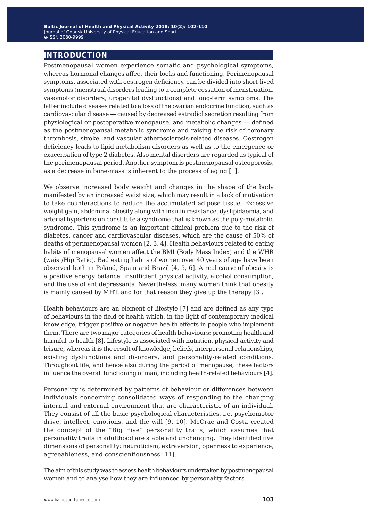### **introduction**

Postmenopausal women experience somatic and psychological symptoms, whereas hormonal changes affect their looks and functioning. Perimenopausal symptoms, associated with oestrogen deficiency, can be divided into short-lived symptoms (menstrual disorders leading to a complete cessation of menstruation, vasomotor disorders, urogenital dysfunctions) and long-term symptoms. The latter include diseases related to a loss of the ovarian endocrine function, such as cardiovascular disease ― caused by decreased estradiol secretion resulting from physiological or postoperative menopause, and metabolic changes ― defined as the postmenopausal metabolic syndrome and raising the risk of coronary thrombosis, stroke, and vascular atherosclerosis-related diseases. Oestrogen deficiency leads to lipid metabolism disorders as well as to the emergence or exacerbation of type 2 diabetes. Also mental disorders are regarded as typical of the perimenopausal period. Another symptom is postmenopausal osteoporosis, as a decrease in bone-mass is inherent to the process of aging [1].

We observe increased body weight and changes in the shape of the body manifested by an increased waist size, which may result in a lack of motivation to take counteractions to reduce the accumulated adipose tissue. Excessive weight gain, abdominal obesity along with insulin resistance, dyslipidaemia, and arterial hypertension constitute a syndrome that is known as the poly-metabolic syndrome. This syndrome is an important clinical problem due to the risk of diabetes, cancer and cardiovascular diseases, which are the cause of 50% of deaths of perimenopausal women [2, 3, 4]. Health behaviours related to eating habits of menopausal women affect the BMI (Body Mass Index) and the WHR (waist/Hip Ratio). Bad eating habits of women over 40 years of age have been observed both in Poland, Spain and Brazil [4, 5, 6]. A real cause of obesity is a positive energy balance, insufficient physical activity, alcohol consumption, and the use of antidepressants. Nevertheless, many women think that obesity is mainly caused by MHT, and for that reason they give up the therapy [3].

Health behaviours are an element of lifestyle [7] and are defined as any type of behaviours in the field of health which, in the light of contemporary medical knowledge, trigger positive or negative health effects in people who implement them. There are two major categories of health behaviours: promoting health and harmful to health [8]. Lifestyle is associated with nutrition, physical activity and leisure, whereas it is the result of knowledge, beliefs, interpersonal relationships, existing dysfunctions and disorders, and personality-related conditions. Throughout life, and hence also during the period of menopause, these factors influence the overall functioning of man, including health-related behaviours [4].

Personality is determined by patterns of behaviour or differences between individuals concerning consolidated ways of responding to the changing internal and external environment that are characteristic of an individual. They consist of all the basic psychological characteristics, i.e. psychomotor drive, intellect, emotions, and the will [9, 10]. McCrae and Costa created the concept of the "Big Five" personality traits, which assumes that personality traits in adulthood are stable and unchanging. They identified five dimensions of personality: neuroticism, extraversion, openness to experience, agreeableness, and conscientiousness [11].

The aim of this study was to assess health behaviours undertaken by postmenopausal women and to analyse how they are influenced by personality factors.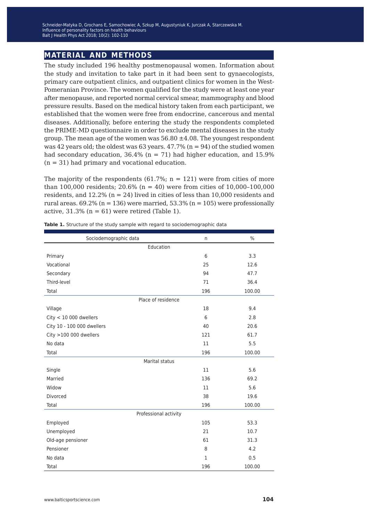### **material and methods**

The study included 196 healthy postmenopausal women. Information about the study and invitation to take part in it had been sent to gynaecologists, primary care outpatient clinics, and outpatient clinics for women in the West-Pomeranian Province. The women qualified for the study were at least one year after menopause, and reported normal cervical smear, mammography and blood pressure results. Based on the medical history taken from each participant, we established that the women were free from endocrine, cancerous and mental diseases. Additionally, before entering the study the respondents completed the PRIME-MD questionnaire in order to exclude mental diseases in the study group. The mean age of the women was  $56.80 \pm 4.08$ . The youngest respondent was 42 years old; the oldest was 63 years.  $47.7\%$  (n = 94) of the studied women had secondary education,  $36.4\%$  (n = 71) had higher education, and 15.9%  $(n = 31)$  had primary and vocational education.

The majority of the respondents (61.7%;  $n = 121$ ) were from cities of more than 100,000 residents; 20.6% (n = 40) were from cities of  $10,000-100,000$ residents, and 12.2% (n = 24) lived in cities of less than 10,000 residents and rural areas.  $69.2\%$  (n = 136) were married, 53.3% (n = 105) were professionally active,  $31.3\%$  (n = 61) were retired (Table 1).

| Sociodemographic data      | n            | $\frac{0}{0}$ |  |  |  |  |  |
|----------------------------|--------------|---------------|--|--|--|--|--|
| Education                  |              |               |  |  |  |  |  |
| Primary                    | 6            | 3.3           |  |  |  |  |  |
| Vocational                 | 25           | 12.6          |  |  |  |  |  |
| Secondary                  | 94           | 47.7          |  |  |  |  |  |
| Third-level                | 71           | 36.4          |  |  |  |  |  |
| Total                      | 196          | 100.00        |  |  |  |  |  |
| Place of residence         |              |               |  |  |  |  |  |
| Village                    | 18           | 9.4           |  |  |  |  |  |
| $City < 10000$ dwellers    | 6            | 2.8           |  |  |  |  |  |
| City 10 - 100 000 dwellers | 40           | 20.6          |  |  |  |  |  |
| City >100 000 dwellers     | 121          | 61.7          |  |  |  |  |  |
| No data                    | 11           | 5.5           |  |  |  |  |  |
| Total                      | 196          | 100.00        |  |  |  |  |  |
| Marital status             |              |               |  |  |  |  |  |
| Single                     | 11           | 5.6           |  |  |  |  |  |
| Married                    | 136          | 69.2          |  |  |  |  |  |
| Widow                      | 11           | 5.6           |  |  |  |  |  |
| Divorced                   | 38           | 19.6          |  |  |  |  |  |
| Total                      | 196          | 100.00        |  |  |  |  |  |
| Professional activity      |              |               |  |  |  |  |  |
| Employed                   | 105          | 53.3          |  |  |  |  |  |
| Unemployed                 | 21           | 10.7          |  |  |  |  |  |
| Old-age pensioner          | 61           | 31.3          |  |  |  |  |  |
| Pensioner                  | 8            | 4.2           |  |  |  |  |  |
| No data                    | $\mathbf{1}$ | 0.5           |  |  |  |  |  |
| Total                      | 196          | 100.00        |  |  |  |  |  |

Table 1. Structure of the study sample with regard to sociodemographic data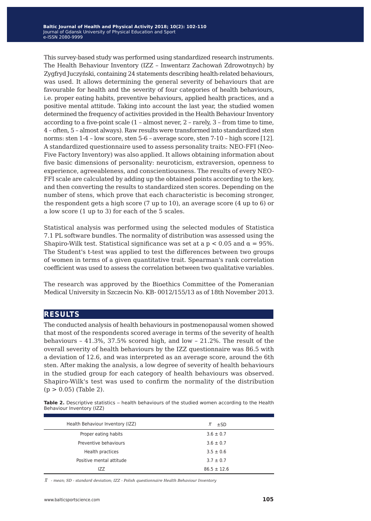This survey-based study was performed using standardized research instruments. The Health Behaviour Inventory (IZZ – Inwentarz Zachowań Zdrowotnych) by Zygfryd Juczyński, containing 24 statements describing health-related behaviours, was used. It allows determining the general severity of behaviours that are favourable for health and the severity of four categories of health behaviours, i.e. proper eating habits, preventive behaviours, applied health practices, and a positive mental attitude. Taking into account the last year, the studied women determined the frequency of activities provided in the Health Behaviour Inventory according to a five-point scale (1 – almost never, 2 – rarely, 3 – from time to time, 4 – often, 5 – almost always). Raw results were transformed into standardized sten norms: sten 1-4 – low score, sten 5-6 – average score, sten 7-10 – high score [12]. A standardized questionnaire used to assess personality traits: NEO-FFI (Neo-Five Factory Inventory) was also applied. It allows obtaining information about five basic dimensions of personality: neuroticism, extraversion, openness to experience, agreeableness, and conscientiousness. The results of every NEO-FFI scale are calculated by adding up the obtained points according to the key, and then converting the results to standardized sten scores. Depending on the number of stens, which prove that each characteristic is becoming stronger, the respondent gets a high score (7 up to 10), an average score (4 up to 6) or a low score (1 up to 3) for each of the 5 scales.

Statistical analysis was performed using the selected modules of Statistica 7.1 PL software bundles. The normality of distribution was assessed using the Shapiro-Wilk test. Statistical significance was set at a  $p < 0.05$  and  $\alpha = 95$ %. The Student's t-test was applied to test the differences between two groups of women in terms of a given quantitative trait. Spearman's rank correlation coefficient was used to assess the correlation between two qualitative variables.

The research was approved by the Bioethics Committee of the Pomeranian Medical University in Szczecin No. KB- 0012/155/13 as of 18th November 2013.

#### **results**

The conducted analysis of health behaviours in postmenopausal women showed that most of the respondents scored average in terms of the severity of health behaviours – 41.3%, 37.5% scored high, and low – 21.2%. The result of the overall severity of health behaviours by the IZZ questionnaire was 86.5 with a deviation of 12.6, and was interpreted as an average score, around the 6th sten. After making the analysis, a low degree of severity of health behaviours in the studied group for each category of health behaviours was observed. Shapiro-Wilk's test was used to confirm the normality of the distribution  $(p > 0.05)$  (Table 2).

**Table 2.** Descriptive statistics – health behaviours of the studied women according to the Health Behaviour Inventory (IZZ)

| Health Behaviour Inventory (IZZ) | $\overline{x}$<br>$\pm$ SD |
|----------------------------------|----------------------------|
| Proper eating habits             | $3.6 \pm 0.7$              |
| Preventive behaviours            | $3.6 \pm 0.7$              |
| Health practices                 | $3.5 \pm 0.6$              |
| Positive mental attitude         | $3.7 \pm 0.7$              |
| IZZ                              | $86.5 \pm 12.6$            |

*x - mean; SD - standard deviation; IZZ - Polish questionnaire Health Behaviour Inventory*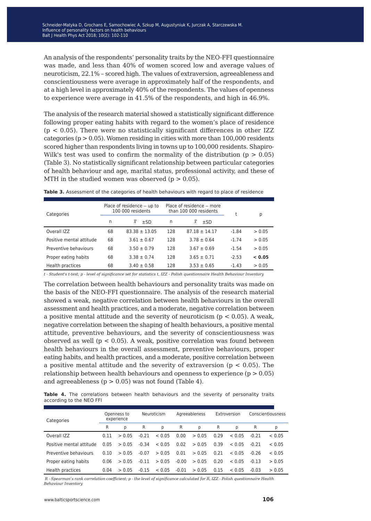An analysis of the respondents' personality traits by the NEO-FFI questionnaire was made, and less than 40% of women scored low and average values of neuroticism, 22.1% – scored high. The values of extraversion, agreeableness and conscientiousness were average in approximately half of the respondents, and at a high level in approximately 40% of the respondents. The values of openness to experience were average in 41.5% of the respondents, and high in 46.9%.

The analysis of the research material showed a statistically significant difference following proper eating habits with regard to the women's place of residence  $(p < 0.05)$ . There were no statistically significant differences in other IZZ categories ( $p > 0.05$ ). Women residing in cities with more than 100,000 residents scored higher than respondents living in towns up to 100,000 residents. Shapiro-Wilk's test was used to confirm the normality of the distribution  $(p > 0.05)$ (Table 3). No statistically significant relationship between particular categories of health behaviour and age, marital status, professional activity, and these of MTH in the studied women was observed  $(p > 0.05)$ .

| Categories               |    | Place of residence $-$ up to<br>100 000 residents |     | Place of residence – more<br>than 100 000 residents |         | р      |
|--------------------------|----|---------------------------------------------------|-----|-----------------------------------------------------|---------|--------|
|                          | n  | $\bar{x}$<br>$\pm$ SD                             | n   | $\overline{x}$<br>±SD                               |         |        |
| Overall IZZ              | 68 | $83.38 \pm 13.05$                                 | 128 | $87.18 \pm 14.17$                                   | $-1.84$ | > 0.05 |
| Positive mental attitude | 68 | $3.61 \pm 0.67$                                   | 128 | $3.78 \pm 0.64$                                     | $-1.74$ | > 0.05 |
| Preventive behaviours    | 68 | $3.50 \pm 0.79$                                   | 128 | $3.67 \pm 0.69$                                     | $-1.54$ | > 0.05 |
| Proper eating habits     | 68 | $3.38 \pm 0.74$                                   | 128 | $3.65 \pm 0.71$                                     | $-2.53$ | < 0.05 |
| Health practices         | 68 | $3.40 \pm 0.58$                                   | 128 | $3.53 \pm 0.65$                                     | $-1.43$ | > 0.05 |

**Table 3.** Assessment of the categories of health behaviours with regard to place of residence

*t - Student's t-test; p - level of significance set for statistics t, IZZ - Polish questionnaire Health Behaviour Inventory*

The correlation between health behaviours and personality traits was made on the basis of the NEO-FFI questionnaire. The analysis of the research material showed a weak, negative correlation between health behaviours in the overall assessment and health practices, and a moderate, negative correlation between a positive mental attitude and the severity of neuroticism ( $p < 0.05$ ). A weak, negative correlation between the shaping of health behaviours, a positive mental attitude, preventive behaviours, and the severity of conscientiousness was observed as well ( $p < 0.05$ ). A weak, positive correlation was found between health behaviours in the overall assessment, preventive behaviours, proper eating habits, and health practices, and a moderate, positive correlation between a positive mental attitude and the severity of extraversion ( $p < 0.05$ ). The relationship between health behaviours and openness to experience  $(p > 0.05)$ and agreeableness ( $p > 0.05$ ) was not found (Table 4).

Table 4. The correlations between health behaviours and the severity of personality traits according to the NEO FFI

| Categories               | Openness to<br>experience |        | Neuroticism |        | Agreeableness |        | Extroversion |        | Conscientiousness |        |
|--------------------------|---------------------------|--------|-------------|--------|---------------|--------|--------------|--------|-------------------|--------|
|                          | R                         | р      | R           | p      | R             | p      | R            | р      | R                 | р      |
| Overall IZZ              | 0.11                      | > 0.05 | $-0.21$     | < 0.05 | 0.00          | > 0.05 | 0.29         | < 0.05 | $-0.21$           | < 0.05 |
| Positive mental attitude | 0.05                      | > 0.05 | $-0.34$     | < 0.05 | 0.02          | > 0.05 | 0.39         | < 0.05 | $-0.21$           | < 0.05 |
| Preventive behaviours    | 0.10                      | > 0.05 | $-0.07$     | > 0.05 | 0.01          | > 0.05 | 0.21         | < 0.05 | $-0.26$           | < 0.05 |
| Proper eating habits     | 0.06                      | > 0.05 | $-0.11$     | > 0.05 | $-0.00$       | > 0.05 | 0.20         | < 0.05 | $-0.13$           | > 0.05 |
| Health practices         | 0.04                      | > 0.05 | $-0.15$     | < 0.05 | $-0.01$       | > 0.05 | 0.15         | < 0.05 | $-0.03$           | > 0.05 |

*R - Spearman's rank correlation coefficient; p - the level of significance calculated for R, IZZ - Polish questionnaire Health Behaviour Inventory*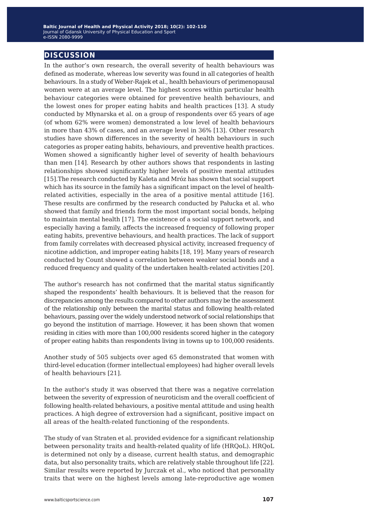### **discussion**

In the author's own research, the overall severity of health behaviours was defined as moderate, whereas low severity was found in all categories of health behaviours. In a study of Weber-Rajek et al., health behaviours of perimenopausal women were at an average level. The highest scores within particular health behaviour categories were obtained for preventive health behaviours, and the lowest ones for proper eating habits and health practices [13]. A study conducted by Młynarska et al. on a group of respondents over 65 years of age (of whom 62% were women) demonstrated a low level of health behaviours in more than 43% of cases, and an average level in 36% [13]. Other research studies have shown differences in the severity of health behaviours in such categories as proper eating habits, behaviours, and preventive health practices. Women showed a significantly higher level of severity of health behaviours than men [14]. Research by other authors shows that respondents in lasting relationships showed significantly higher levels of positive mental attitudes [15].The research conducted by Kaleta and Mróz has shown that social support which has its source in the family has a significant impact on the level of healthrelated activities, especially in the area of a positive mental attitude [16]. These results are confirmed by the research conducted by Pałucka et al. who showed that family and friends form the most important social bonds, helping to maintain mental health [17]. The existence of a social support network, and especially having a family, affects the increased frequency of following proper eating habits, preventive behaviours, and health practices. The lack of support from family correlates with decreased physical activity, increased frequency of nicotine addiction, and improper eating habits [18, 19]. Many years of research conducted by Count showed a correlation between weaker social bonds and a reduced frequency and quality of the undertaken health-related activities [20].

The author's research has not confirmed that the marital status significantly shaped the respondents' health behaviours. It is believed that the reason for discrepancies among the results compared to other authors may be the assessment of the relationship only between the marital status and following health-related behaviours, passing over the widely understood network of social relationships that go beyond the institution of marriage. However, it has been shown that women residing in cities with more than 100,000 residents scored higher in the category of proper eating habits than respondents living in towns up to 100,000 residents.

Another study of 505 subjects over aged 65 demonstrated that women with third-level education (former intellectual employees) had higher overall levels of health behaviours [21].

In the author's study it was observed that there was a negative correlation between the severity of expression of neuroticism and the overall coefficient of following health-related behaviours, a positive mental attitude and using health practices. A high degree of extroversion had a significant, positive impact on all areas of the health-related functioning of the respondents.

The study of van Straten et al. provided evidence for a significant relationship between personality traits and health-related quality of life (HRQoL). HRQoL is determined not only by a disease, current health status, and demographic data, but also personality traits, which are relatively stable throughout life [22]. Similar results were reported by Jurczak et al., who noticed that personality traits that were on the highest levels among late-reproductive age women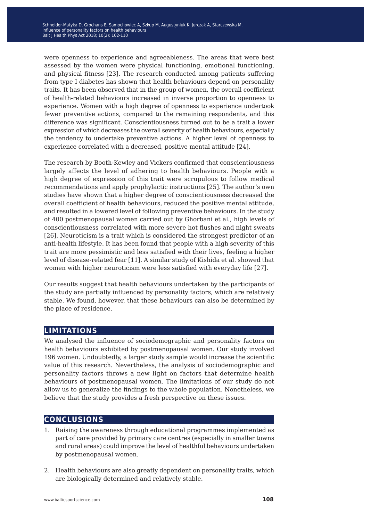were openness to experience and agreeableness. The areas that were best assessed by the women were physical functioning, emotional functioning, and physical fitness [23]. The research conducted among patients suffering from type I diabetes has shown that health behaviours depend on personality traits. It has been observed that in the group of women, the overall coefficient of health-related behaviours increased in inverse proportion to openness to experience. Women with a high degree of openness to experience undertook fewer preventive actions, compared to the remaining respondents, and this difference was significant. Conscientiousness turned out to be a trait a lower expression of which decreases the overall severity of health behaviours, especially the tendency to undertake preventive actions. A higher level of openness to experience correlated with a decreased, positive mental attitude [24].

The research by Booth-Kewley and Vickers confirmed that conscientiousness largely affects the level of adhering to health behaviours. People with a high degree of expression of this trait were scrupulous to follow medical recommendations and apply prophylactic instructions [25]. The author's own studies have shown that a higher degree of conscientiousness decreased the overall coefficient of health behaviours, reduced the positive mental attitude, and resulted in a lowered level of following preventive behaviours. In the study of 400 postmenopausal women carried out by Ghorbani et al., high levels of conscientiousness correlated with more severe hot flushes and night sweats [26]. Neuroticism is a trait which is considered the strongest predictor of an anti-health lifestyle. It has been found that people with a high severity of this trait are more pessimistic and less satisfied with their lives, feeling a higher level of disease-related fear [11]. A similar study of Kishida et al. showed that women with higher neuroticism were less satisfied with everyday life [27].

Our results suggest that health behaviours undertaken by the participants of the study are partially influenced by personality factors, which are relatively stable. We found, however, that these behaviours can also be determined by the place of residence.

#### **limitations**

We analysed the influence of sociodemographic and personality factors on health behaviours exhibited by postmenopausal women. Our study involved 196 women. Undoubtedly, a larger study sample would increase the scientific value of this research. Nevertheless, the analysis of sociodemographic and personality factors throws a new light on factors that determine health behaviours of postmenopausal women. The limitations of our study do not allow us to generalize the findings to the whole population. Nonetheless, we believe that the study provides a fresh perspective on these issues.

#### **conclusions**

- 1. Raising the awareness through educational programmes implemented as part of care provided by primary care centres (especially in smaller towns and rural areas) could improve the level of healthful behaviours undertaken by postmenopausal women.
- 2. Health behaviours are also greatly dependent on personality traits, which are biologically determined and relatively stable.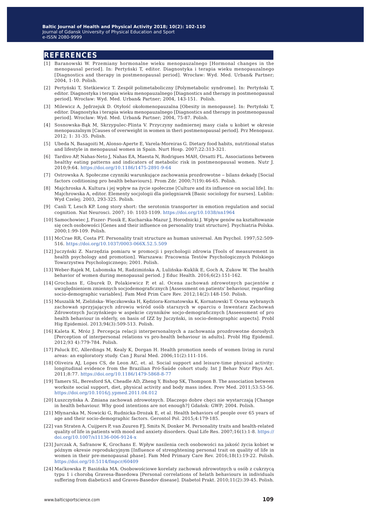#### **references**

- [1] Baranowski W. Przemiany hormonalne wieku menopauzalnego [Hormonal changes in the menopausal period]. In: Pertyński T, editor. Diagnostyka i terapia wieku menopauzalnego [Diagnostics and therapy in postmenopausal period]. Wrocław: Wyd. Med. Urban& Partner; 2004, 1-10. Polish.
- [2] Pertyński T, Stetkiewicz T. Zespół polimetaboliczny [Polymetabolic syndrome]. In: Pertyński T, editor. Diagnostyka i terapia wieku menopauzalnego [Diagnostics and therapy in postmenopausal period]. Wrocław: Wyd. Med. Urban& Partner; 2004, 143-151. Polish.
- [3] Milewicz A, Jędrzejuk D. Otyłość okołomenopauzalna [Obesity in menopause]. In: Pertyński T, editor. Diagnostyka i terapia wieku menopauzalnego [Diagnostics and therapy in postmenopausal period]. Wrocław: Wyd. Med. Urban& Partner; 2004, 75-87. Polish.
- [4] Sosnowska-Bąk M, Skrzypulec-Plinta V. Przyczyny nadmiernej masy ciała u kobiet w okresie menopauzalnym [Causes of overweight in women in theri postmenopausal period]. Prz Menopauz. 2012; 1: 31-35. Polish.
- [5] Ubeda N, Basagoiti M, Alonso-Aperte E, Varela-Moreiras G. Dietary food habits, nutritional status and lifestyle in menopausal women in Spain. Nurt Hosp. 2007;22:313-321.
- [6] Tardivo AP, Nahas-Neto J, Nahas EA, Maesta N, Rodrigues MAH, Orsatti FL. Associations between healthy eating patterns and indicators of metabolic risk in postmenopausal women. Nutr J. 2010;9:64.<https://doi.org/10.1186/1475-2891-9-64>
- [7] Ostrowska A. Społeczne czynniki warunkujące zachowania prozdrowotne ‒ bilans dekady [Social factors coditioning pro health behaviours]. Prom Zdr. 2000;7(19):46-65. Polish.
- [8] Majchroska A. Kultura i jej wpływ na życie społeczne [Culture and its influence on social life]. In: Majchrowska A, editor. Elementy socjologii dla pielęgniarek [Basic sociology for nurses]. Lublin: Wyd Czelej; 2003, 293-325. Polish.
- [9] Canli T, Lesch KP. Long story short: the serotonin transporter in emotion regulation and social cognition. Nat Neurosci. 2007; 10: 1103-1109. <https://doi.org/10.1038/nn1964>
- [10] Samochowiec J, Fiszer- Piosik E, Kucharska-Mazur J, Horodnicki J. Wpływ genów na kształtowanie się cech osobowości [Genes and their influence on personality trait structure]. Psychiatria Polska. 2000;1:99-109. Polish.
- [11] McCrae RR, Costa PT. Personality trait structure as human universal. Am Psychol. 1997;52:509- 516. <https://doi.org/10.1037/0003-066X.52.5.509>
- [12] Juczyński Z. Narzędzia pomiaru w promocji i psychologii zdrowia [Tools of measurement in health psychology and promotion]. Warszawa: Pracownia Testów Psychologicznych Polskiego Towarzystwa Psychologicznego; 2001. Polish.
- [13] Weber-Rajek M, Lubomska M, Radzimińska A, Lulińska–Kuklik E, Goch A, Zukow W. The health behavior of women during menopausal period. J Educ Health. 2016;6(2):151-162.
- [14] Grochans E, Gburek D, Polakiewicz P, et al. Ocena zachowań zdrowotnych pacjentów z uwzględnieniem zmiennych socjodemograficznych [Assessment on patients' behaviour, regarding socio-demographic variables]. Fam Med Prim Care Rev. 2012;14(2):148-150. Polish.
- [15] Muszalik M, Zielińska- Więczkowska H, Kędziora-Kornatowska K, Kornatowski T. Ocena wybranych zachowań sprzyjających zdrowiu wśród osób starszych w oparciu o Inwentarz Zachowań Zdrowotnych Juczyńskiego w aspekcie czynników socjo-demograficznych [Asseessment of pro health behaviour in elderly, on basis of IZZ by Juczyński, in socio-demographic aspects]. Probl Hig Epidemiol. 2013;94(3):509-513. Polish.
- [16] Kaleta K, Mróz J. Percepcja relacji interpersonalnych a zachowania prozdrowotne dorosłych [Perception of interpersonal relations vs pro-health behaviour in adults]. Probl Hig Epidemil. 2012;93 4):779-784. Polish.
- [17] Paluck EC, Allerdings M, Kealy K, Dorgan H. Health promotion needs of women living in rural areas: an exploratory study. Can J Rural Med. 2006;11(2):111-116.
- [18] Oliveira AJ, Lopes CS, de Leon AC, et. al. Social support and leisure-time physical activity: longitudinal evidence from the Brazilian Pró-Saúde cohort study. Int J Behav Nutr Phys Act. 2011;8:77.<https://doi.org/10.1186/1479-5868-8-77>
- [19] Tamers SL, Beresford SA, Cheadle AD, Zheng Y, Bishop SK, Thompson B. The association between worksite social support, diet, physical activity and body mass index. Prev Med. 2011;53:53-56. <https://doi.org/10.1016/j.ypmed.2011.04.012>
- [20] Łuszczyńska A. Zmiana zachowań zdrowotnych. Dlaczego dobre chęci nie wystarczają [Change in health behaviour. Why good intentions are not enough?] Gdańsk: GWP; 2004. Polish.
- [21] Młynarska M, Nowicki G, Rudnicka-Drożak E, et al. Health behaviors of people over 65 years of age and their socio-demographic factors. Gerontol Pol. 2015;4:179-185.
- [22] van Straten A, Cuijpers P, van Zuuren FJ, Smits N, Donker M. Personality traits and health-related quality of life in patients with mood and anxiety disorders. Qual Life Res. 2007;16(1):1-8. [https://](https://doi.org/10.1007/s11136-006-9124-x) [doi.org/10.1007/s11136-006-9124-x](https://doi.org/10.1007/s11136-006-9124-x)
- [23] Jurczak A, Safranow K, Grochans E. Wpływ nasilenia cech osobowości na jakość życia kobiet w późnym okresie reprodukcyjnym [Influence of strenghtening personal trait on quality of life in women in their pre-menopausal phase]. Fam Med Primary Care Rev. 2016;18(1):19-22. Polish. <https://doi.org/10.5114/fmpcr/60409>
- [24] Maćkowska P, Basińska MA. Osobowościowe korelaty zachowań zdrowotnych u osób z cukrzycą typu 1 i chorobą Gravesa-Basedowa [Personal correlations of helath behaviours in individuals suffering from diabetics1 and Graves-Basedov disease]. Diabetol Prakt. 2010;11(2):39-45. Polish.